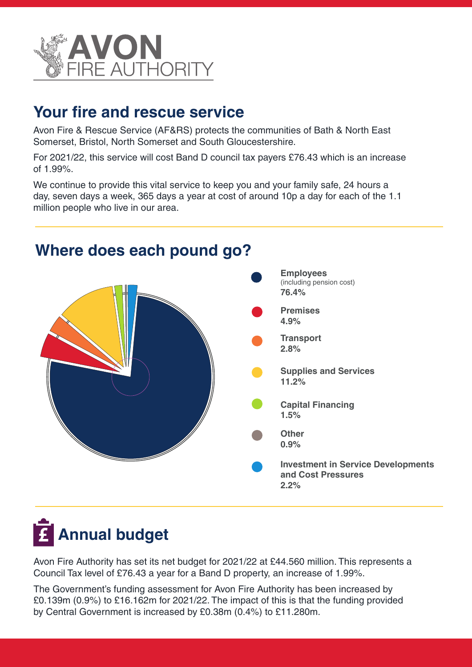

## **Your fire and rescue service**

Avon Fire & Rescue Service (AF&RS) protects the communities of Bath & North East Somerset, Bristol, North Somerset and South Gloucestershire.

For 2021/22, this service will cost Band D council tax payers £76.43 which is an increase of 1.99%.

We continue to provide this vital service to keep you and your family safe, 24 hours a day, seven days a week, 365 days a year at cost of around 10p a day for each of the 1.1 million people who live in our area.



## **Where does each pound go?**

## **Annual budget**

Avon Fire Authority has set its net budget for 2021/22 at £44.560 million. This represents a Council Tax level of £76.43 a year for a Band D property, an increase of 1.99%.

The Government's funding assessment for Avon Fire Authority has been increased by £0.139m (0.9%) to £16.162m for 2021/22. The impact of this is that the funding provided by Central Government is increased by £0.38m (0.4%) to £11.280m.